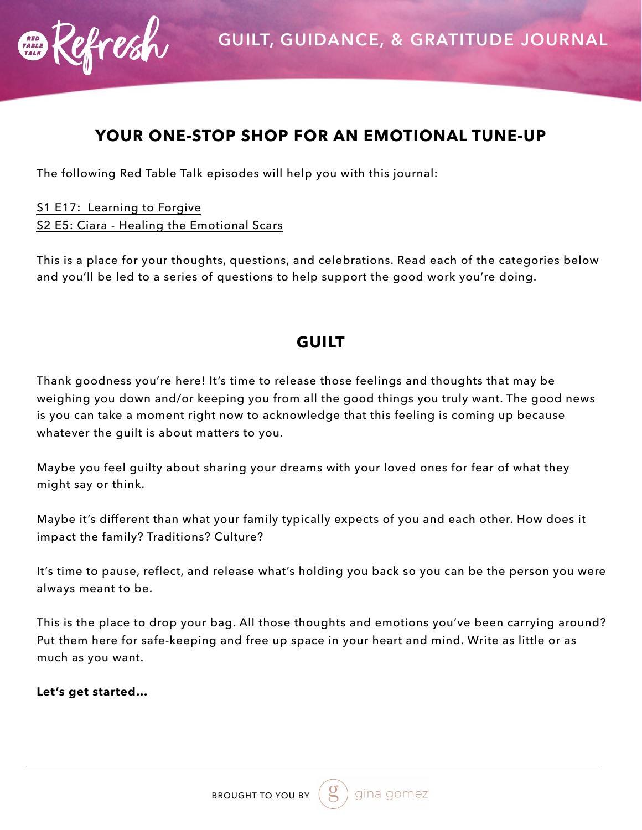

## **YOUR ONE-STOP SHOP FOR AN EMOTIONAL TUNE-UP**

The following Red Table Talk episodes will help you with this journal:

[S1 E17: Learning to Forgive](https://www.facebook.com/redtabletalk/videos/714214335607751/) [S2 E5: Ciara - Healing the Emotional Scars](https://www.facebook.com/watch/?v=2276528422610437)

This is a place for your thoughts, questions, and celebrations. Read each of the categories below and you'll be led to a series of questions to help support the good work you're doing.

# **GUILT**

Thank goodness you're here! It's time to release those feelings and thoughts that may be weighing you down and/or keeping you from all the good things you truly want. The good news is you can take a moment right now to acknowledge that this feeling is coming up because whatever the guilt is about matters to you.

Maybe you feel guilty about sharing your dreams with your loved ones for fear of what they might say or think.

Maybe it's different than what your family typically expects of you and each other. How does it impact the family? Traditions? Culture?

It's time to pause, reflect, and release what's holding you back so you can be the person you were always meant to be.

This is the place to drop your bag. All those thoughts and emotions you've been carrying around? Put them here for safe-keeping and free up space in your heart and mind. Write as little or as much as you want.

**Let's get started…**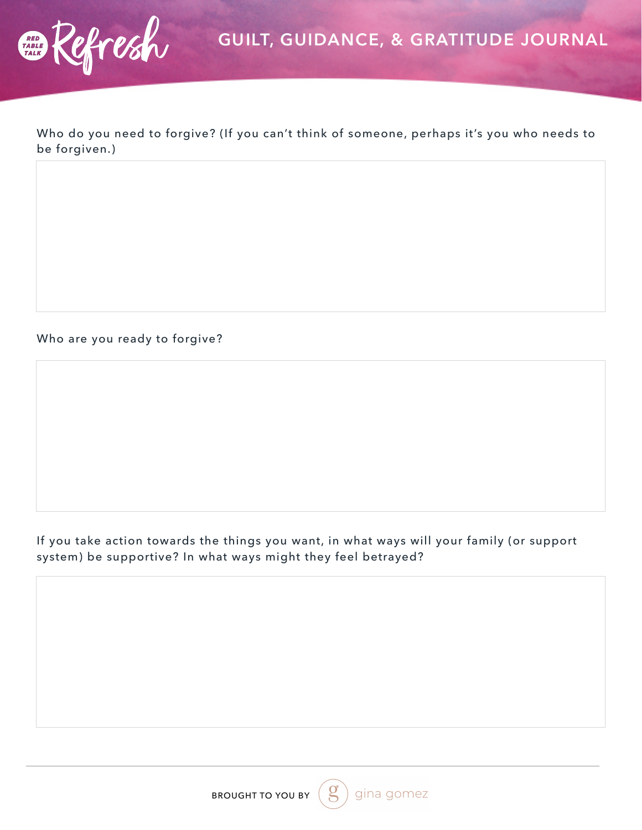

Who do you need to forgive? (If you can't think of someone, perhaps it's you who needs to be forgiven.)

#### Who are you ready to forgive?

### If you take action towards the things you want, in what ways will your family (or support system) be supportive? In what ways might they feel betrayed?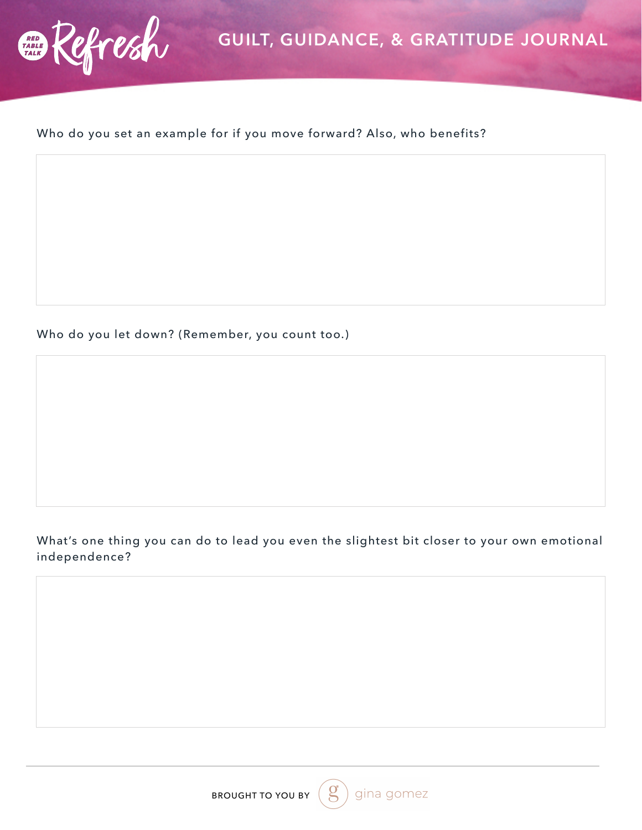

### Who do you set an example for if you move forward? Also, who benefits?

Who do you let down? (Remember, you count too.)

### What's one thing you can do to lead you even the slightest bit closer to your own emotional independence?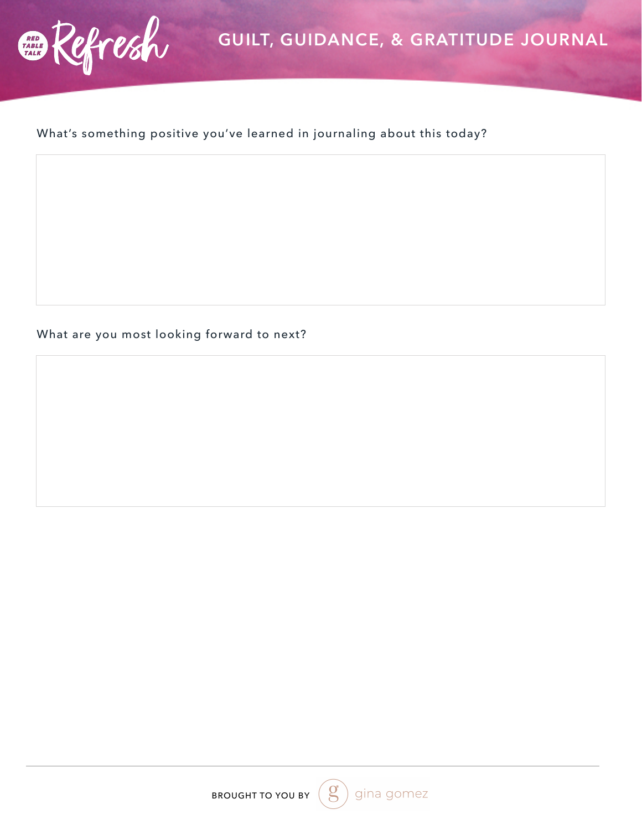

## What's something positive you've learned in journaling about this today?

What are you most looking forward to next?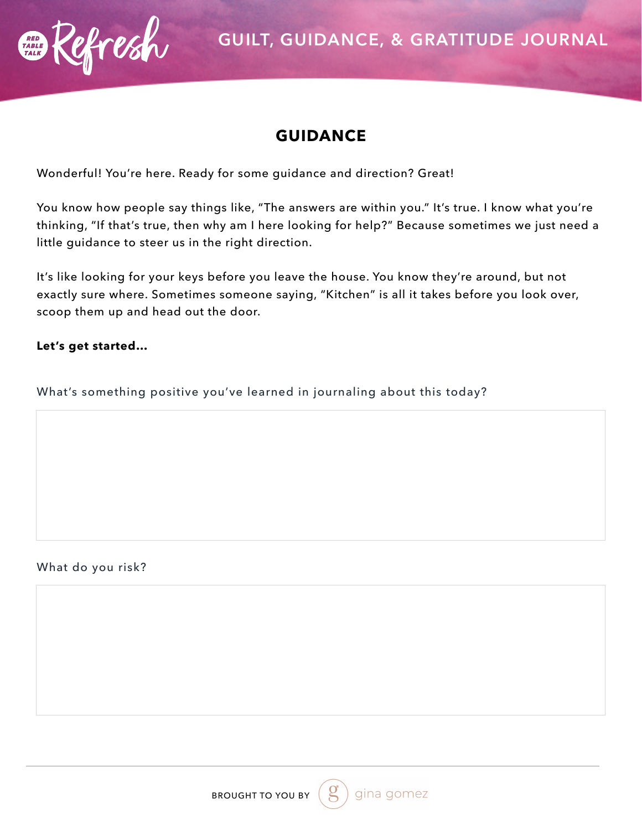

## **GUIDANCE**

Wonderful! You're here. Ready for some guidance and direction? Great!

You know how people say things like, "The answers are within you." It's true. I know what you're thinking, "If that's true, then why am I here looking for help?" Because sometimes we just need a little guidance to steer us in the right direction.

It's like looking for your keys before you leave the house. You know they're around, but not exactly sure where. Sometimes someone saying, "Kitchen" is all it takes before you look over, scoop them up and head out the door.

### **Let's get started…**

What's something positive you've learned in journaling about this today?

### What do you risk?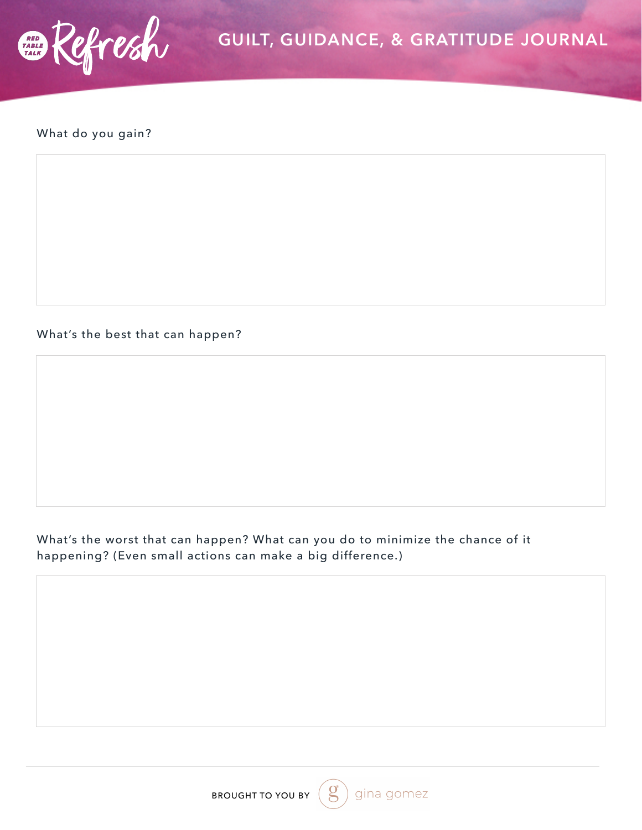

## What do you gain?

What's the best that can happen?

What's the worst that can happen? What can you do to minimize the chance of it happening? (Even small actions can make a big difference.)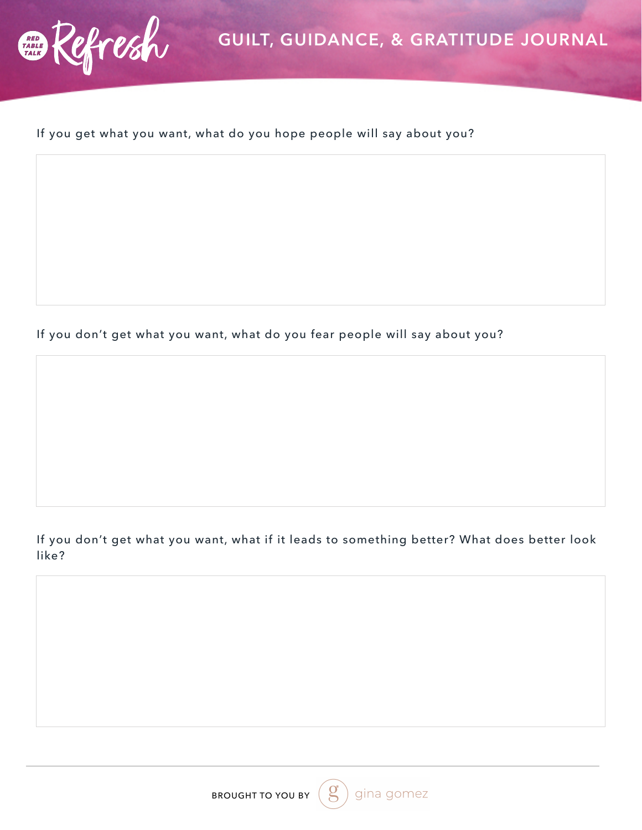

## If you get what you want, what do you hope people will say about you?

If you don't get what you want, what do you fear people will say about you?

If you don't get what you want, what if it leads to something better? What does better look like?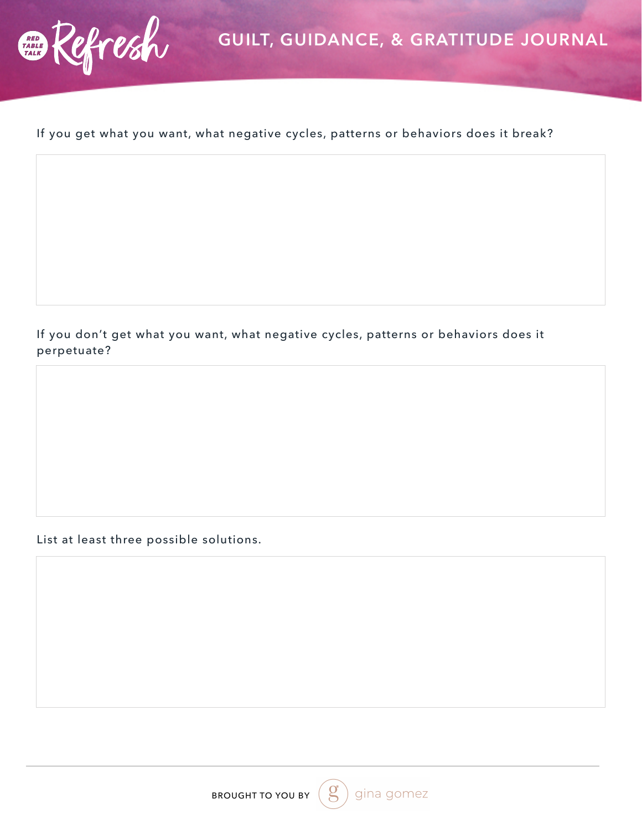

## If you get what you want, what negative cycles, patterns or behaviors does it break?

If you don't get what you want, what negative cycles, patterns or behaviors does it perpetuate?

List at least three possible solutions.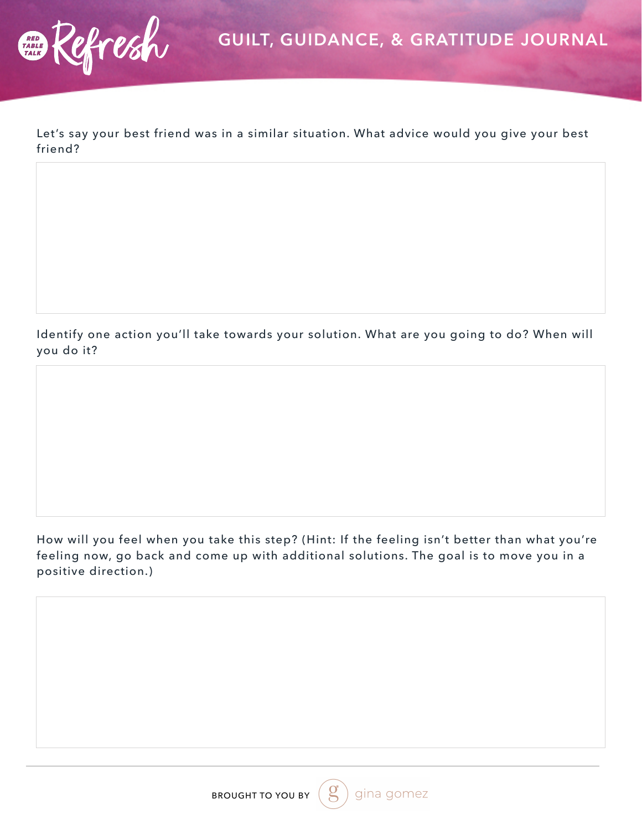Let's say your best friend was in a similar situation. What advice would you give your best friend?

Identify one action you'll take towards your solution. What are you going to do? When will you do it?

How will you feel when you take this step? (Hint: If the feeling isn't better than what you're feeling now, go back and come up with additional solutions. The goal is to move you in a positive direction.)

gina gomez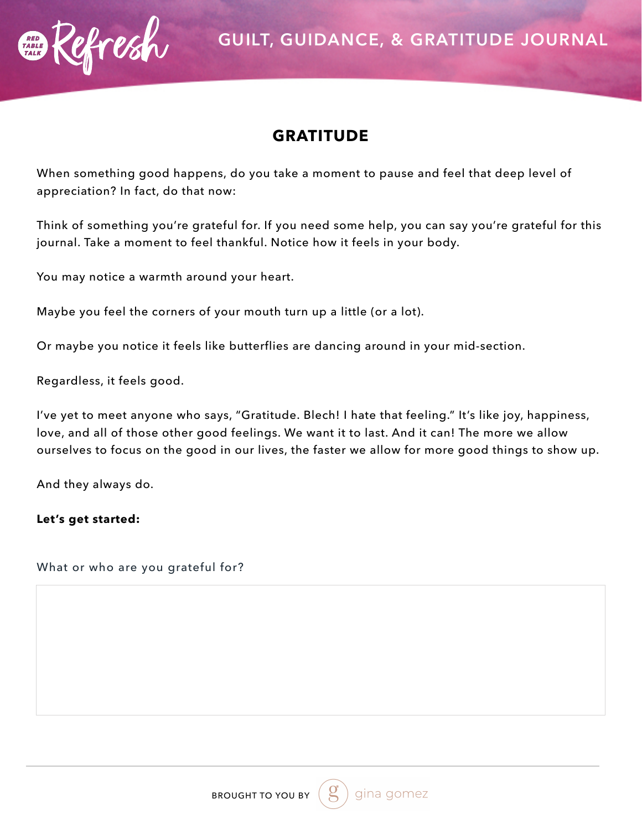

## **GRATITUDE**

When something good happens, do you take a moment to pause and feel that deep level of appreciation? In fact, do that now:

Think of something you're grateful for. If you need some help, you can say you're grateful for this journal. Take a moment to feel thankful. Notice how it feels in your body.

You may notice a warmth around your heart.

Maybe you feel the corners of your mouth turn up a little (or a lot).

Or maybe you notice it feels like butterflies are dancing around in your mid-section.

Regardless, it feels good.

I've yet to meet anyone who says, "Gratitude. Blech! I hate that feeling." It's like joy, happiness, love, and all of those other good feelings. We want it to last. And it can! The more we allow ourselves to focus on the good in our lives, the faster we allow for more good things to show up.

And they always do.

**Let's get started:** 

What or who are you grateful for?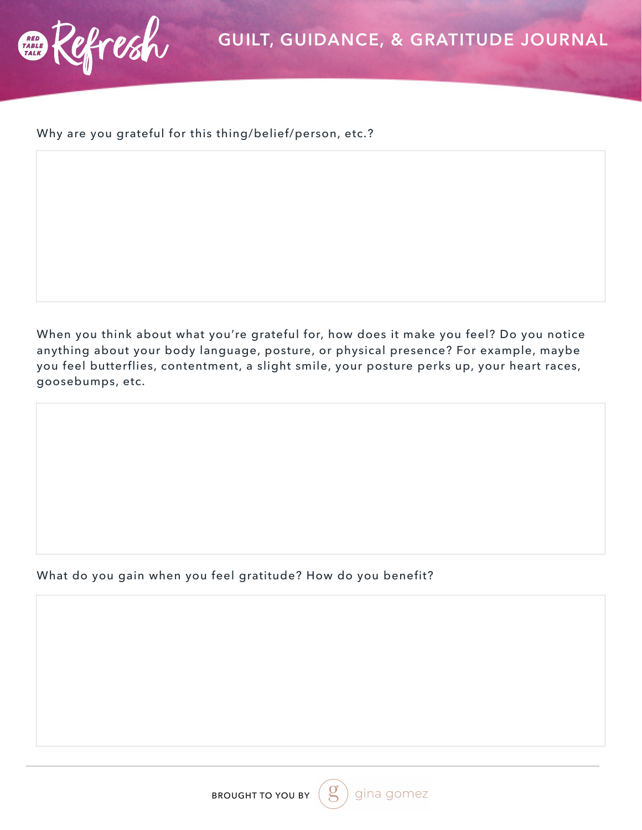

#### Why are you grateful for this thing/belief/person, etc.?

When you think about what you're grateful for, how does it make you feel? Do you notice anything about your body language, posture, or physical presence? For example, maybe you feel butterflies, contentment, a slight smile, your posture perks up, your heart races, goosebumps, etc.

#### What do you gain when you feel gratitude? How do you benefit?

gina gomez